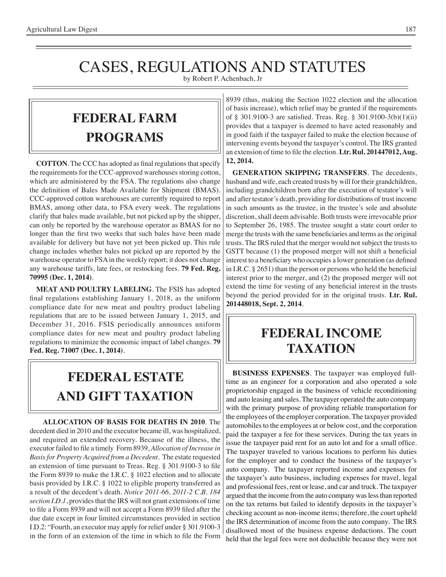# CASES, REGULATIONS AND STATUTES

by Robert P. Achenbach, Jr

### **federal FARM PROGRAMS**

**COTTON**. The CCC has adopted as final regulations that specify the requirements for the CCC-approved warehouses storing cotton, which are administered by the FSA. The regulations also change the definition of Bales Made Available for Shipment (BMAS). CCC-approved cotton warehouses are currently required to report BMAS, among other data, to FSA every week. The regulations clarify that bales made available, but not picked up by the shipper, can only be reported by the warehouse operator as BMAS for no longer than the first two weeks that such bales have been made available for delivery but have not yet been picked up. This rule change includes whether bales not picked up are reported by the warehouse operator to FSA in the weekly report; it does not change any warehouse tariffs, late fees, or restocking fees. **79 Fed. Reg. 70995 (Dec. 1, 2014)**.

**MEAT AND POULTRY LABELING**. The FSIS has adopted final regulations establishing January 1, 2018, as the uniform compliance date for new meat and poultry product labeling regulations that are to be issued between January 1, 2015, and December 31, 2016. FSIS periodically announces uniform compliance dates for new meat and poultry product labeling regulations to minimize the economic impact of label changes. **79 Fed. Reg. 71007 (Dec. 1, 2014)**.

## **FEDERAL ESTATE AND GIFT taxation**

**ALLOCATION OF BASIS FOR DEATHS IN 2010**. The decedent died in 2010 and the executor became ill, was hospitalized, and required an extended recovery. Because of the illness, the executor failed to file a timely Form 8939, *Allocation of Increase in Basis for Property Acquired from a Decedent*. The estate requested an extension of time pursuant to Treas. Reg. § 301.9100-3 to file the Form 8939 to make the I.R.C. § 1022 election and to allocate basis provided by I.R.C. § 1022 to eligible property transferred as a result of the decedent's death. *Notice 2011-66, 2011-2 C.B. 184 section I.D.1*, provides that the IRS will not grant extensions of time to file a Form 8939 and will not accept a Form 8939 filed after the due date except in four limited circumstances provided in section I.D.2: "Fourth, an executor may apply for relief under § 301.9100-3 in the form of an extension of the time in which to file the Form

8939 (thus, making the Section 1022 election and the allocation of basis increase), which relief may be granted if the requirements of § 301.9100-3 are satisfied. Treas. Reg. § 301.9100-3(b)(1)(ii) provides that a taxpayer is deemed to have acted reasonably and in good faith if the taxpayer failed to make the election because of intervening events beyond the taxpayer's control. The IRS granted an extension of time to file the election. **Ltr. Rul. 201447012, Aug. 12, 2014.**

**GENERATION SKIPPING TRANSFERS**. The decedents, husband and wife, each created trusts by will for their grandchildren, including grandchildren born after the execution of testator's will and after testator's death, providing for distributions of trust income in such amounts as the trustee, in the trustee's sole and absolute discretion, shall deem advisable. Both trusts were irrevocable prior to September 26, 1985. The trustee sought a state court order to merge the trusts with the same beneficiaries and terms as the original trusts. The IRS ruled that the merger would not subject the trusts to GSTT because (1) the proposed merger will not shift a beneficial interest to a beneficiary who occupies a lower generation (as defined in I.R.C. § 2651) than the person or persons who held the beneficial interest prior to the merger, and (2) the proposed merger will not extend the time for vesting of any beneficial interest in the trusts beyond the period provided for in the original trusts. **Ltr. Rul. 201448018, Sept. 2, 2014**.

### **federal income taxation**

**BUSINESS EXPENSES**. The taxpayer was employed fulltime as an engineer for a corporation and also operated a sole proprietorship engaged in the business of vehicle reconditioning and auto leasing and sales. The taxpayer operated the auto company with the primary purpose of providing reliable transportation for the employees of the employer corporation. The taxpayer provided automobiles to the employees at or below cost, and the corporation paid the taxpayer a fee for these services. During the tax years in issue the taxpayer paid rent for an auto lot and for a small office. The taxpayer traveled to various locations to perform his duties for the employer and to conduct the business of the taxpayer's auto company. The taxpayer reported income and expenses for the taxpayer's auto business, including expenses for travel, legal and professional fees, rent or lease, and car and truck. The taxpayer argued that the income from the auto company was less than reported on the tax returns but failed to identify deposits in the taxpayer's checking account as non-income items; therefore, the court upheld the IRS determination of income from the auto company. The IRS disallowed most of the business expense deductions. The court held that the legal fees were not deductible because they were not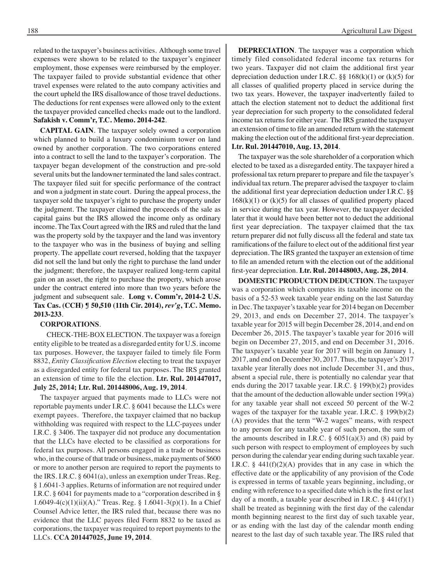related to the taxpayer's business activities. Although some travel expenses were shown to be related to the taxpayer's engineer employment, those expenses were reimbursed by the employer. The taxpayer failed to provide substantial evidence that other travel expenses were related to the auto company activities and the court upheld the IRS disallowance of those travel deductions. The deductions for rent expenses were allowed only to the extent the taxpayer provided cancelled checks made out to the landlord. **Safakish v. Comm'r, T.C. Memo. 2014-242**.

**CAPITAL GAIN**. The taxpayer solely owned a corporation which planned to build a luxury condominium tower on land owned by another corporation. The two corporations entered into a contract to sell the land to the taxpayer's corporation. The taxpayer began development of the construction and pre-sold several units but the landowner terminated the land sales contract. The taxpayer filed suit for specific performance of the contract and won a judgment in state court. During the appeal process, the taxpayer sold the taxpayer's right to purchase the property under the judgment. The taxpayer claimed the proceeds of the sale as capital gains but the IRS allowed the income only as ordinary income. The Tax Court agreed with the IRS and ruled that the land was the property sold by the taxpayer and the land was inventory to the taxpayer who was in the business of buying and selling property. The appellate court reversed, holding that the taxpayer did not sell the land but only the right to purchase the land under the judgment; therefore, the taxpayer realized long-term capital gain on an asset, the right to purchase the property, which arose under the contract entered into more than two years before the judgment and subsequent sale. **Long v. Comm'r, 2014-2 U.S. Tax Cas. (CCH) ¶ 50,510 (11th Cir. 2014),** *rev'g***, T.C. Memo. 2013-233**.

#### **CORPORATIONS**.

 CHECK-THE-BOX ELECTION. The taxpayer was a foreign entity eligible to be treated as a disregarded entity for U.S. income tax purposes. However, the taxpayer failed to timely file Form 8832, *Entity Classification Election* electing to treat the taxpayer as a disregarded entity for federal tax purposes. The IRS granted an extension of time to file the election. **Ltr. Rul. 201447017, July 25, 2014; Ltr. Rul. 201448006, Aug. 19, 2014**.

The taxpayer argued that payments made to LLCs were not reportable payments under I.R.C. § 6041 because the LLCs were exempt payees. Therefore, the taxpayer claimed that no backup withholding was required with respect to the LLC-payees under I.R.C. § 3406. The taxpayer did not produce any documentation that the LLCs have elected to be classified as corporations for federal tax purposes. All persons engaged in a trade or business who, in the course of that trade or business, make payments of \$600 or more to another person are required to report the payments to the IRS. I.R.C. § 6041(a), unless an exemption under Treas. Reg. § 1.6041-3 applies. Returns of information are not required under I.R.C. § 6041 for payments made to a "corporation described in § 1.6049-4(c)(1)(ii)(A)." Treas. Reg. § 1.6041-3(p)(1). In a Chief Counsel Advice letter, the IRS ruled that, because there was no evidence that the LLC payees filed Form 8832 to be taxed as corporations, the taxpayer was required to report payments to the LLCs. **CCA 201447025, June 19, 2014**.

**DEPRECIATION**. The taxpayer was a corporation which timely filed consolidated federal income tax returns for two years. Taxpayer did not claim the additional first year depreciation deduction under I.R.C.  $\S\S 168(k)(1)$  or  $(k)(5)$  for all classes of qualified property placed in service during the two tax years. However, the taxpayer inadvertently failed to attach the election statement not to deduct the additional first year depreciation for such property to the consolidated federal income tax returns for either year. The IRS granted the taxpayer an extension of time to file an amended return with the statement making the election out of the additional first-year depreciation. **Ltr. Rul. 201447010, Aug. 13, 2014**.

The taxpayer was the sole shareholder of a corporation which elected to be taxed as a disregarded entity. The taxpayer hired a professional tax return preparer to prepare and file the taxpayer's individual tax return. The preparer advised the taxpayer to claim the additional first year depreciation deduction under I.R.C. §§  $168(k)(1)$  or  $(k)(5)$  for all classes of qualified property placed in service during the tax year. However, the taxpayer decided later that it would have been better not to deduct the additional first year depreciation. The taxpayer claimed that the tax return preparer did not fully discuss all the federal and state tax ramifications of the failure to elect out of the additional first year depreciation. The IRS granted the taxpayer an extension of time to file an amended return with the election out of the additional first-year depreciation. **Ltr. Rul. 201448003, Aug. 28, 2014**.

**DOMESTIC PRODUCTION DEDUCTION**. The taxpayer was a corporation which computes its taxable income on the basis of a 52-53 week taxable year ending on the last Saturday in Dec. The taxpayer's taxable year for 2014 began on December 29, 2013, and ends on December 27, 2014. The taxpayer's taxable year for 2015 will begin December 28, 2014, and end on December 26, 2015. The taxpayer's taxable year for 2016 will begin on December 27, 2015, and end on December 31, 2016. The taxpayer's taxable year for 2017 will begin on January 1, 2017, and end on December 30, 2017. Thus, the taxpayer's 2017 taxable year literally does not include December 31, and thus, absent a special rule, there is potentially no calendar year that ends during the 2017 taxable year. I.R.C. § 199(b)(2) provides that the amount of the deduction allowable under section 199(a) for any taxable year shall not exceed 50 percent of the W-2 wages of the taxpayer for the taxable year. I.R.C. § 199(b)(2) (A) provides that the term "W-2 wages" means, with respect to any person for any taxable year of such person, the sum of the amounts described in I.R.C.  $\S$  6051(a)(3) and (8) paid by such person with respect to employment of employees by such person during the calendar year ending during such taxable year. I.R.C.  $\S$  441(f)(2)(A) provides that in any case in which the effective date or the applicability of any provision of the Code is expressed in terms of taxable years beginning, including, or ending with reference to a specified date which is the first or last day of a month, a taxable year described in I.R.C.  $\S$  441(f)(1) shall be treated as beginning with the first day of the calendar month beginning nearest to the first day of such taxable year, or as ending with the last day of the calendar month ending nearest to the last day of such taxable year. The IRS ruled that